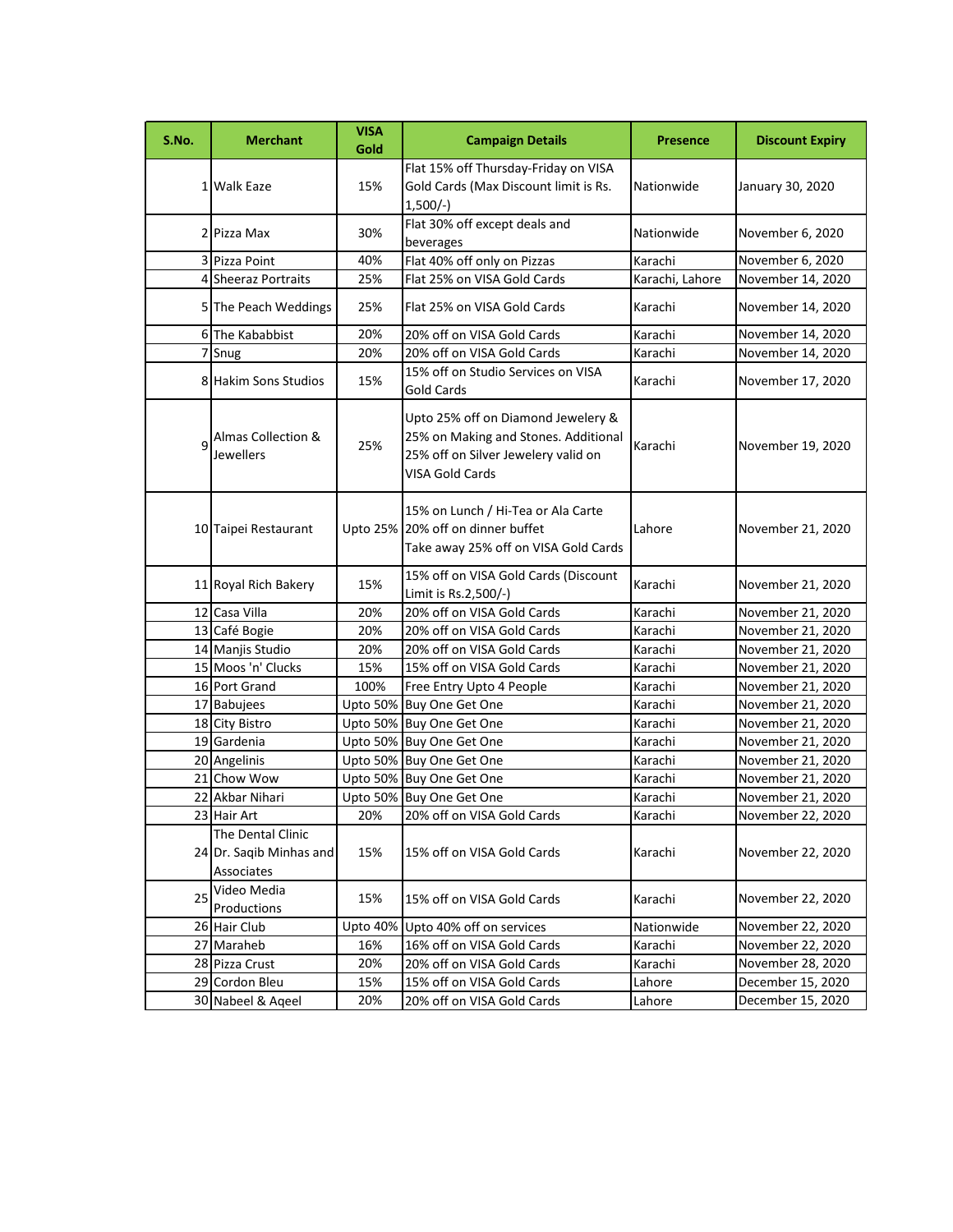| S.No. | <b>Merchant</b>                                            | <b>VISA</b><br>Gold | <b>Campaign Details</b>                                                                                                              | <b>Presence</b> | <b>Discount Expiry</b> |
|-------|------------------------------------------------------------|---------------------|--------------------------------------------------------------------------------------------------------------------------------------|-----------------|------------------------|
|       | 1 Walk Eaze                                                | 15%                 | Flat 15% off Thursday-Friday on VISA<br>Gold Cards (Max Discount limit is Rs.<br>$1,500/-$                                           | Nationwide      | January 30, 2020       |
|       | 2 Pizza Max                                                | 30%                 | Flat 30% off except deals and<br>beverages                                                                                           | Nationwide      | November 6, 2020       |
|       | 3 Pizza Point                                              | 40%                 | Flat 40% off only on Pizzas                                                                                                          | Karachi         | November 6, 2020       |
|       | 4 Sheeraz Portraits                                        | 25%                 | Flat 25% on VISA Gold Cards                                                                                                          | Karachi, Lahore | November 14, 2020      |
|       | 5 The Peach Weddings                                       | 25%                 | Flat 25% on VISA Gold Cards                                                                                                          | Karachi         | November 14, 2020      |
|       | 6 The Kababbist                                            | 20%                 | 20% off on VISA Gold Cards                                                                                                           | Karachi         | November 14, 2020      |
|       | 7 Snug                                                     | 20%                 | 20% off on VISA Gold Cards                                                                                                           | Karachi         | November 14, 2020      |
|       | 8 Hakim Sons Studios                                       | 15%                 | 15% off on Studio Services on VISA<br><b>Gold Cards</b>                                                                              | Karachi         | November 17, 2020      |
|       | Almas Collection &<br>Jewellers                            | 25%                 | Upto 25% off on Diamond Jewelery &<br>25% on Making and Stones. Additional<br>25% off on Silver Jewelery valid on<br>VISA Gold Cards | Karachi         | November 19, 2020      |
|       | 10 Taipei Restaurant                                       |                     | 15% on Lunch / Hi-Tea or Ala Carte<br>Upto 25% 20% off on dinner buffet<br>Take away 25% off on VISA Gold Cards                      | Lahore          | November 21, 2020      |
|       | 11 Royal Rich Bakery                                       | 15%                 | 15% off on VISA Gold Cards (Discount<br>Limit is Rs.2,500/-)                                                                         | Karachi         | November 21, 2020      |
|       | 12 Casa Villa                                              | 20%                 | 20% off on VISA Gold Cards                                                                                                           | Karachi         | November 21, 2020      |
|       | 13 Café Bogie                                              | 20%                 | 20% off on VISA Gold Cards                                                                                                           | Karachi         | November 21, 2020      |
|       | 14 Manjis Studio                                           | 20%                 | 20% off on VISA Gold Cards                                                                                                           | Karachi         | November 21, 2020      |
|       | 15 Moos 'n' Clucks                                         | 15%                 | 15% off on VISA Gold Cards                                                                                                           | Karachi         | November 21, 2020      |
|       | 16 Port Grand                                              | 100%                | Free Entry Upto 4 People                                                                                                             | Karachi         | November 21, 2020      |
|       | 17 Babujees                                                | <b>Upto 50%</b>     | Buy One Get One                                                                                                                      | Karachi         | November 21, 2020      |
|       | 18 City Bistro                                             | <b>Upto 50%</b>     | Buy One Get One                                                                                                                      | Karachi         | November 21, 2020      |
|       | 19 Gardenia                                                | Upto 50%            | <b>Buy One Get One</b>                                                                                                               | Karachi         | November 21, 2020      |
|       | 20 Angelinis                                               |                     | Upto 50% Buy One Get One                                                                                                             | Karachi         | November 21, 2020      |
|       | 21 Chow Wow                                                |                     | Upto 50% Buy One Get One                                                                                                             | Karachi         | November 21, 2020      |
|       | 22 Akbar Nihari                                            |                     | Upto 50% Buy One Get One                                                                                                             | Karachi         | November 21, 2020      |
|       | 23 Hair Art                                                | 20%                 | 20% off on VISA Gold Cards                                                                                                           | Karachi         | November 22, 2020      |
|       | The Dental Clinic<br>24 Dr. Sagib Minhas and<br>Associates | 15%                 | 15% off on VISA Gold Cards                                                                                                           | Karachi         | November 22, 2020      |
| 25    | Video Media<br>Productions                                 | 15%                 | 15% off on VISA Gold Cards                                                                                                           | Karachi         | November 22, 2020      |
|       | 26 Hair Club                                               | <b>Upto 40%</b>     | Upto 40% off on services                                                                                                             | Nationwide      | November 22, 2020      |
|       | 27 Maraheb                                                 | 16%                 | 16% off on VISA Gold Cards                                                                                                           | Karachi         | November 22, 2020      |
|       | 28 Pizza Crust                                             | 20%                 | 20% off on VISA Gold Cards                                                                                                           | Karachi         | November 28, 2020      |
|       | 29 Cordon Bleu                                             | 15%                 | 15% off on VISA Gold Cards                                                                                                           | Lahore          | December 15, 2020      |
|       | 30 Nabeel & Aqeel                                          | 20%                 | 20% off on VISA Gold Cards                                                                                                           | Lahore          | December 15, 2020      |